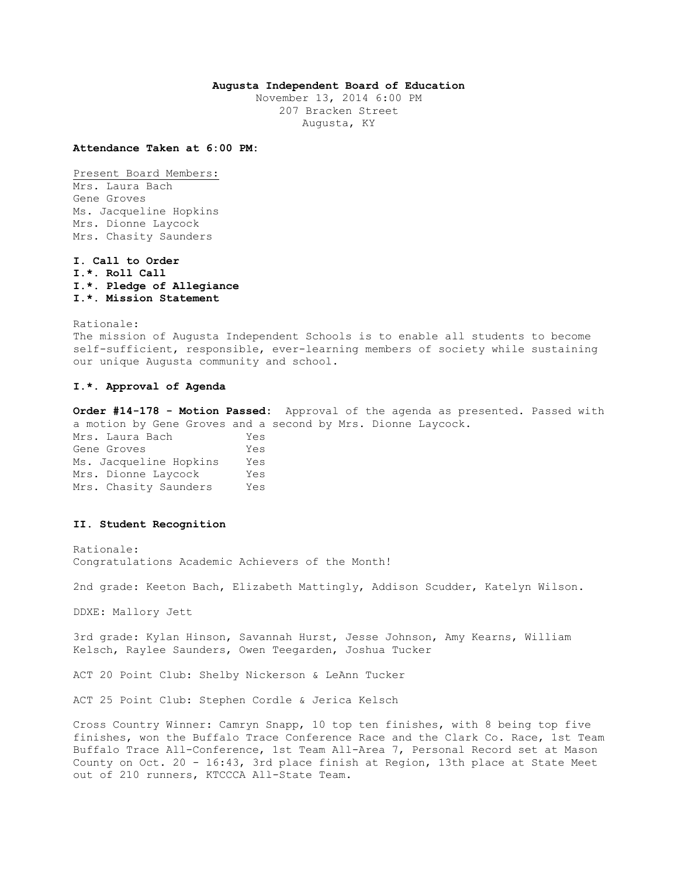## **Augusta Independent Board of Education**

November 13, 2014 6:00 PM 207 Bracken Street Augusta, KY

**Attendance Taken at 6:00 PM:**

Present Board Members: Mrs. Laura Bach Gene Groves Ms. Jacqueline Hopkins Mrs. Dionne Laycock Mrs. Chasity Saunders

**I. Call to Order I.\*. Roll Call I.\*. Pledge of Allegiance I.\*. Mission Statement** 

Rationale:

The mission of Augusta Independent Schools is to enable all students to become self-sufficient, responsible, ever-learning members of society while sustaining our unique Augusta community and school.

## **I.\*. Approval of Agenda**

**Order #14-178 - Motion Passed:** Approval of the agenda as presented. Passed with a motion by Gene Groves and a second by Mrs. Dionne Laycock.

Mrs. Laura Bach Yes Gene Groves Tes Ms. Jacqueline Hopkins Yes Mrs. Dionne Laycock Yes Mrs. Chasity Saunders Yes

#### **II. Student Recognition**

Rationale: Congratulations Academic Achievers of the Month!

2nd grade: Keeton Bach, Elizabeth Mattingly, Addison Scudder, Katelyn Wilson.

DDXE: Mallory Jett

3rd grade: Kylan Hinson, Savannah Hurst, Jesse Johnson, Amy Kearns, William Kelsch, Raylee Saunders, Owen Teegarden, Joshua Tucker

ACT 20 Point Club: Shelby Nickerson & LeAnn Tucker

ACT 25 Point Club: Stephen Cordle & Jerica Kelsch

Cross Country Winner: Camryn Snapp, 10 top ten finishes, with 8 being top five finishes, won the Buffalo Trace Conference Race and the Clark Co. Race, 1st Team Buffalo Trace All-Conference, 1st Team All-Area 7, Personal Record set at Mason County on Oct. 20 - 16:43, 3rd place finish at Region, 13th place at State Meet out of 210 runners, KTCCCA All-State Team.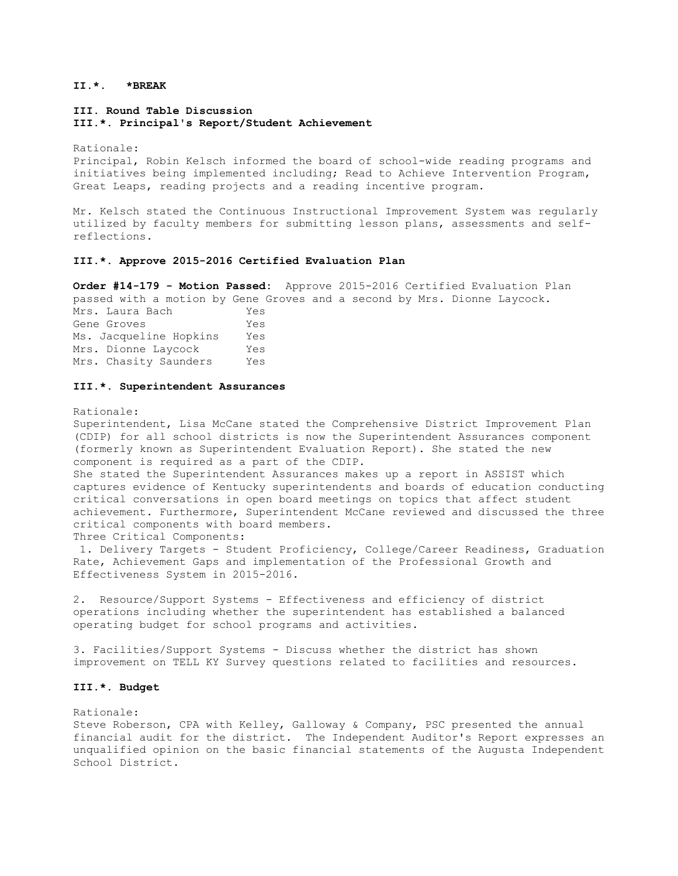## **II.\*. \*BREAK**

**III. Round Table Discussion III.\*. Principal's Report/Student Achievement** 

Rationale:

Principal, Robin Kelsch informed the board of school-wide reading programs and initiatives being implemented including; Read to Achieve Intervention Program, Great Leaps, reading projects and a reading incentive program.

Mr. Kelsch stated the Continuous Instructional Improvement System was regularly utilized by faculty members for submitting lesson plans, assessments and selfreflections.

#### **III.\*. Approve 2015-2016 Certified Evaluation Plan**

**Order #14-179 - Motion Passed:** Approve 2015-2016 Certified Evaluation Plan passed with a motion by Gene Groves and a second by Mrs. Dionne Laycock. Mrs. Laura Bach Yes Gene Groves Tes Ms. Jacqueline Hopkins Yes Mrs. Dionne Laycock Yes Mrs. Chasity Saunders Yes

#### **III.\*. Superintendent Assurances**

Rationale:

Superintendent, Lisa McCane stated the Comprehensive District Improvement Plan (CDIP) for all school districts is now the Superintendent Assurances component (formerly known as Superintendent Evaluation Report). She stated the new component is required as a part of the CDIP.

She stated the Superintendent Assurances makes up a report in ASSIST which captures evidence of Kentucky superintendents and boards of education conducting critical conversations in open board meetings on topics that affect student achievement. Furthermore, Superintendent McCane reviewed and discussed the three critical components with board members.

Three Critical Components:

1. Delivery Targets - Student Proficiency, College/Career Readiness, Graduation Rate, Achievement Gaps and implementation of the Professional Growth and Effectiveness System in 2015-2016.

2. Resource/Support Systems - Effectiveness and efficiency of district operations including whether the superintendent has established a balanced operating budget for school programs and activities.

3. Facilities/Support Systems - Discuss whether the district has shown improvement on TELL KY Survey questions related to facilities and resources.

## **III.\*. Budget**

Rationale:

Steve Roberson, CPA with Kelley, Galloway & Company, PSC presented the annual financial audit for the district. The Independent Auditor's Report expresses an unqualified opinion on the basic financial statements of the Augusta Independent School District.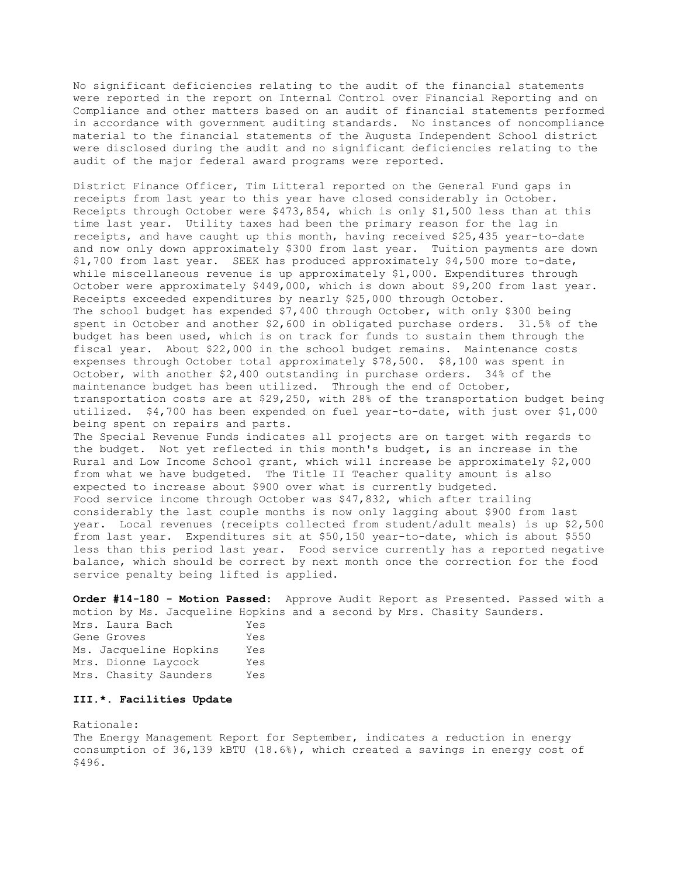No significant deficiencies relating to the audit of the financial statements were reported in the report on Internal Control over Financial Reporting and on Compliance and other matters based on an audit of financial statements performed in accordance with government auditing standards. No instances of noncompliance material to the financial statements of the Augusta Independent School district were disclosed during the audit and no significant deficiencies relating to the audit of the major federal award programs were reported.

District Finance Officer, Tim Litteral reported on the General Fund gaps in receipts from last year to this year have closed considerably in October. Receipts through October were \$473,854, which is only \$1,500 less than at this time last year. Utility taxes had been the primary reason for the lag in receipts, and have caught up this month, having received \$25,435 year-to-date and now only down approximately \$300 from last year. Tuition payments are down \$1,700 from last year. SEEK has produced approximately \$4,500 more to-date, while miscellaneous revenue is up approximately \$1,000. Expenditures through October were approximately \$449,000, which is down about \$9,200 from last year. Receipts exceeded expenditures by nearly \$25,000 through October. The school budget has expended \$7,400 through October, with only \$300 being spent in October and another \$2,600 in obligated purchase orders. 31.5% of the budget has been used, which is on track for funds to sustain them through the fiscal year. About \$22,000 in the school budget remains. Maintenance costs expenses through October total approximately \$78,500. \$8,100 was spent in October, with another \$2,400 outstanding in purchase orders. 34% of the maintenance budget has been utilized. Through the end of October, transportation costs are at \$29,250, with 28% of the transportation budget being utilized. \$4,700 has been expended on fuel year-to-date, with just over \$1,000 being spent on repairs and parts. The Special Revenue Funds indicates all projects are on target with regards to the budget. Not yet reflected in this month's budget, is an increase in the Rural and Low Income School grant, which will increase be approximately \$2,000 from what we have budgeted. The Title II Teacher quality amount is also expected to increase about \$900 over what is currently budgeted. Food service income through October was \$47,832, which after trailing considerably the last couple months is now only lagging about \$900 from last year. Local revenues (receipts collected from student/adult meals) is up \$2,500 from last year. Expenditures sit at \$50,150 year-to-date, which is about \$550 less than this period last year. Food service currently has a reported negative

**Order #14-180 - Motion Passed:** Approve Audit Report as Presented. Passed with a motion by Ms. Jacqueline Hopkins and a second by Mrs. Chasity Saunders.

balance, which should be correct by next month once the correction for the food

Mrs. Laura Bach Yes Gene Groves Yes Ms. Jacqueline Hopkins Yes Mrs. Dionne Laycock Yes Mrs. Chasity Saunders Yes

service penalty being lifted is applied.

## **III.\*. Facilities Update**

Rationale: The Energy Management Report for September, indicates a reduction in energy consumption of 36,139 kBTU (18.6%), which created a savings in energy cost of \$496.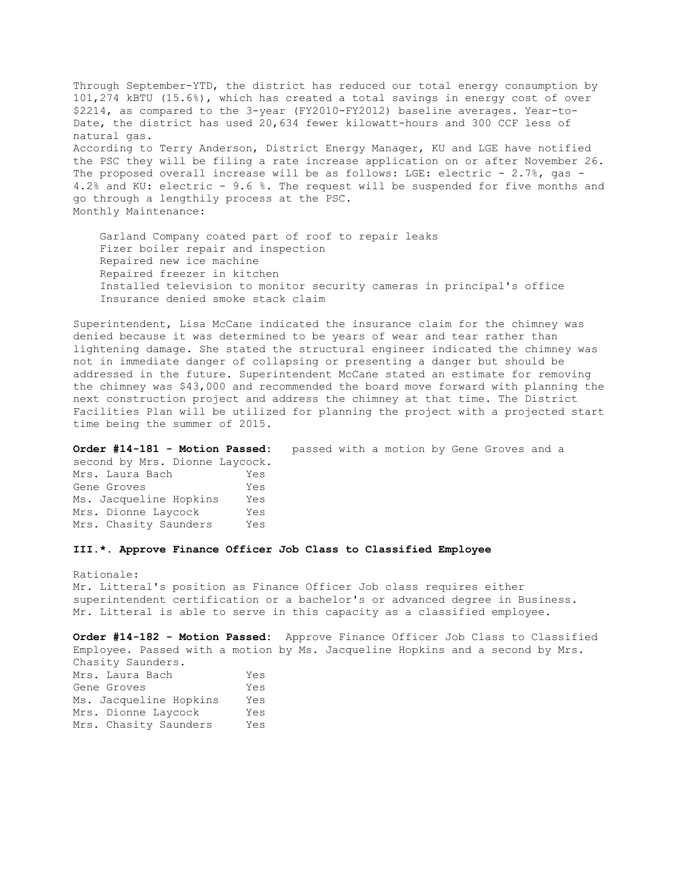Through September-YTD, the district has reduced our total energy consumption by 101,274 kBTU (15.6%), which has created a total savings in energy cost of over \$2214, as compared to the 3-year (FY2010-FY2012) baseline averages. Year-to-Date, the district has used 20,634 fewer kilowatt-hours and 300 CCF less of natural gas. According to Terry Anderson, District Energy Manager, KU and LGE have notified the PSC they will be filing a rate increase application on or after November 26. The proposed overall increase will be as follows: LGE: electric - 2.7%, gas -4.2% and KU: electric - 9.6 %. The request will be suspended for five months and go through a lengthily process at the PSC. Monthly Maintenance:

 Garland Company coated part of roof to repair leaks Fizer boiler repair and inspection Repaired new ice machine Repaired freezer in kitchen Installed television to monitor security cameras in principal's office Insurance denied smoke stack claim

Superintendent, Lisa McCane indicated the insurance claim for the chimney was denied because it was determined to be years of wear and tear rather than lightening damage. She stated the structural engineer indicated the chimney was not in immediate danger of collapsing or presenting a danger but should be addressed in the future. Superintendent McCane stated an estimate for removing the chimney was \$43,000 and recommended the board move forward with planning the next construction project and address the chimney at that time. The District Facilities Plan will be utilized for planning the project with a projected start time being the summer of 2015.

**Order #14-181 - Motion Passed:** passed with a motion by Gene Groves and a second by Mrs. Dionne Laycock. Mrs. Laura Bach Yes Gene Groves Tes Ms. Jacqueline Hopkins Yes Mrs. Dionne Laycock Yes Mrs. Chasity Saunders Yes

## **III.\*. Approve Finance Officer Job Class to Classified Employee**

Rationale: Mr. Litteral's position as Finance Officer Job class requires either superintendent certification or a bachelor's or advanced degree in Business. Mr. Litteral is able to serve in this capacity as a classified employee.

**Order #14-182 - Motion Passed:** Approve Finance Officer Job Class to Classified Employee. Passed with a motion by Ms. Jacqueline Hopkins and a second by Mrs. Chasity Saunders. Mrs. Laura Bach Yes Gene Groves Tes

| Gene Groves            |  | Yes |
|------------------------|--|-----|
| Ms. Jacqueline Hopkins |  | Yes |
| Mrs. Dionne Laycock    |  | Yes |
| Mrs. Chasity Saunders  |  | Yes |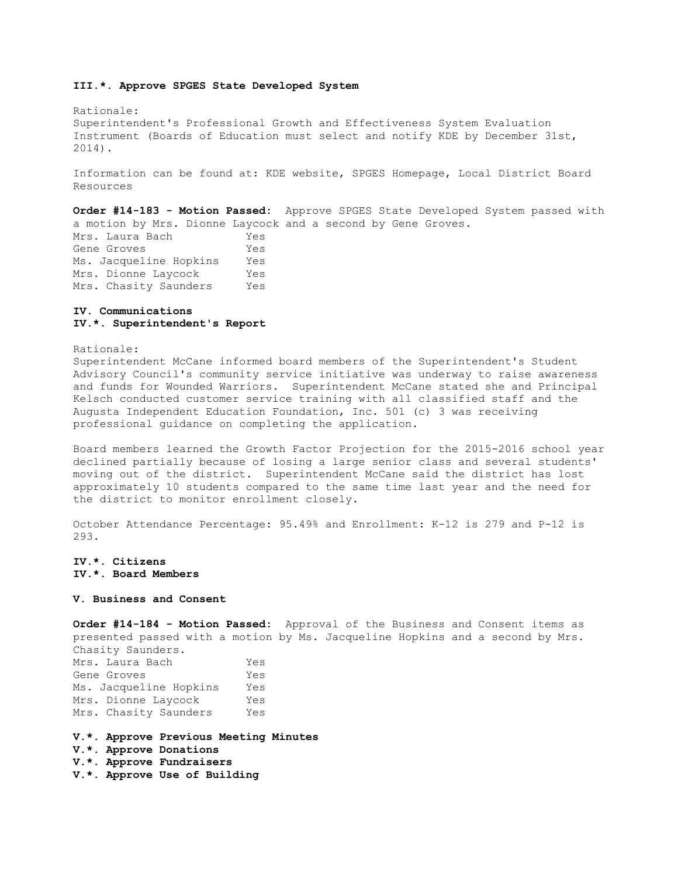#### **III.\*. Approve SPGES State Developed System**

Rationale: Superintendent's Professional Growth and Effectiveness System Evaluation Instrument (Boards of Education must select and notify KDE by December 31st, 2014).

Information can be found at: KDE website, SPGES Homepage, Local District Board Resources

**Order #14-183 - Motion Passed:** Approve SPGES State Developed System passed with a motion by Mrs. Dionne Laycock and a second by Gene Groves.

Mrs. Laura Bach Yes Gene Groves Tes Ms. Jacqueline Hopkins Yes Mrs. Dionne Laycock Yes Mrs. Chasity Saunders Yes

#### **IV. Communications IV.\*. Superintendent's Report**

#### Rationale:

Superintendent McCane informed board members of the Superintendent's Student Advisory Council's community service initiative was underway to raise awareness and funds for Wounded Warriors. Superintendent McCane stated she and Principal Kelsch conducted customer service training with all classified staff and the Augusta Independent Education Foundation, Inc. 501 (c) 3 was receiving professional guidance on completing the application.

Board members learned the Growth Factor Projection for the 2015-2016 school year declined partially because of losing a large senior class and several students' moving out of the district. Superintendent McCane said the district has lost approximately 10 students compared to the same time last year and the need for the district to monitor enrollment closely.

October Attendance Percentage: 95.49% and Enrollment: K-12 is 279 and P-12 is 293.

## **IV.\*. Citizens IV.\*. Board Members**

#### **V. Business and Consent**

**Order #14-184 - Motion Passed:** Approval of the Business and Consent items as presented passed with a motion by Ms. Jacqueline Hopkins and a second by Mrs. Chasity Saunders. Mrs. Laura Bach Yes Gene Groves Tes Ms. Jacqueline Hopkins Yes Mrs. Dionne Laycock Yes Mrs. Chasity Saunders Yes

#### **V.\*. Approve Previous Meeting Minutes**

**V.\*. Approve Donations** 

**V.\*. Approve Fundraisers** 

**V.\*. Approve Use of Building**